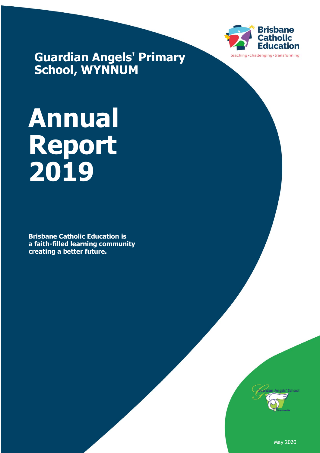

**Guardian Angels' Primary School, WYNNUM**

# **Annual Report 2019**

**Brisbane Catholic Education is a faith-filled learning community creating a better future.**



May 2020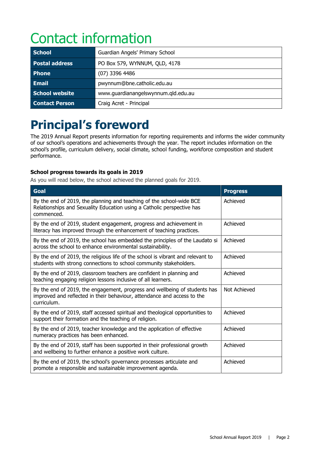# Contact information

| <b>School</b>         | Guardian Angels' Primary School     |  |
|-----------------------|-------------------------------------|--|
| <b>Postal address</b> | PO Box 579, WYNNUM, QLD, 4178       |  |
| <b>Phone</b>          | $(07)$ 3396 4486                    |  |
| <b>Email</b>          | pwynnum@bne.catholic.edu.au         |  |
| School website        | www.guardianangelswynnum.qld.edu.au |  |
| <b>Contact Person</b> | Craig Acret - Principal             |  |

# **Principal's foreword**

The 2019 Annual Report presents information for reporting requirements and informs the wider community of our school's operations and achievements through the year. The report includes information on the school's profile, curriculum delivery, social climate, school funding, workforce composition and student performance.

#### **School progress towards its goals in 2019**

As you will read below, the school achieved the planned goals for 2019.

| <b>Goal</b>                                                                                                                                                          | <b>Progress</b> |
|----------------------------------------------------------------------------------------------------------------------------------------------------------------------|-----------------|
| By the end of 2019, the planning and teaching of the school-wide BCE<br>Relationships and Sexuality Education using a Catholic perspective has<br>commenced.         | Achieved        |
| By the end of 2019, student engagement, progress and achievement in<br>literacy has improved through the enhancement of teaching practices.                          | Achieved        |
| By the end of 2019, the school has embedded the principles of the Laudato si<br>across the school to enhance environmental sustainability.                           | Achieved        |
| By the end of 2019, the religious life of the school is vibrant and relevant to<br>students with strong connections to school community stakeholders.                | Achieved        |
| By the end of 2019, classroom teachers are confident in planning and<br>teaching engaging religion lessons inclusive of all learners.                                | Achieved        |
| By the end of 2019, the engagement, progress and wellbeing of students has<br>improved and reflected in their behaviour, attendance and access to the<br>curriculum. | Not Achieved    |
| By the end of 2019, staff accessed spiritual and theological opportunities to<br>support their formation and the teaching of religion.                               | Achieved        |
| By the end of 2019, teacher knowledge and the application of effective<br>numeracy practices has been enhanced.                                                      | Achieved        |
| By the end of 2019, staff has been supported in their professional growth<br>and wellbeing to further enhance a positive work culture.                               | Achieved        |
| By the end of 2019, the school's governance processes articulate and<br>promote a responsible and sustainable improvement agenda.                                    | Achieved        |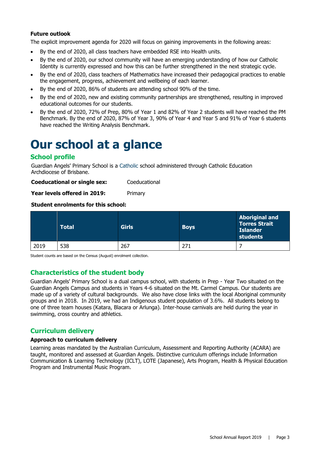#### **Future outlook**

The explicit improvement agenda for 2020 will focus on gaining improvements in the following areas:

- By the end of 2020, all class teachers have embedded RSE into Health units.
- By the end of 2020, our school community will have an emerging understanding of how our Catholic Identity is currently expressed and how this can be further strengthened in the next strategic cycle.
- By the end of 2020, class teachers of Mathematics have increased their pedagogical practices to enable the engagement, progress, achievement and wellbeing of each learner.
- By the end of 2020, 86% of students are attending school 90% of the time.
- By the end of 2020, new and existing community partnerships are strengthened, resulting in improved educational outcomes for our students.
- By the end of 2020, 72% of Prep, 80% of Year 1 and 82% of Year 2 students will have reached the PM Benchmark. By the end of 2020, 87% of Year 3, 90% of Year 4 and Year 5 and 91% of Year 6 students have reached the Writing Analysis Benchmark.

### **Our school at a glance**

#### **School profile**

Guardian Angels' Primary School is a Catholic school administered through Catholic Education Archdiocese of Brisbane.

**Coeducational or single sex:** Coeducational

Year levels offered in 2019: Primary

#### **Student enrolments for this school:**

|      | <b>Total</b> | <b>Girls</b> | <b>Boys</b> | <b>Aboriginal and</b><br><b>Torres Strait</b><br><b>Islander</b><br>students |
|------|--------------|--------------|-------------|------------------------------------------------------------------------------|
| 2019 | 538          | 267          | 271         |                                                                              |

Student counts are based on the Census (August) enrolment collection.

#### **Characteristics of the student body**

Guardian Angels' Primary School is a dual campus school, with students in Prep - Year Two situated on the Guardian Angels Campus and students in Years 4-6 situated on the Mt. Carmel Campus. Our students are made up of a variety of cultural backgrounds. We also have close links with the local Aboriginal community groups and in 2018. In 2019, we had an Indigenous student population of 3.6%. All students belong to one of three team houses (Katara, Blacara or Arlunga). Inter-house carnivals are held during the year in swimming, cross country and athletics.

#### **Curriculum delivery**

#### **Approach to curriculum delivery**

Learning areas mandated by the Australian Curriculum, Assessment and Reporting Authority (ACARA) are taught, monitored and assessed at Guardian Angels. Distinctive curriculum offerings include Information Communication & Learning Technology (ICLT), LOTE (Japanese), Arts Program, Health & Physical Education Program and Instrumental Music Program.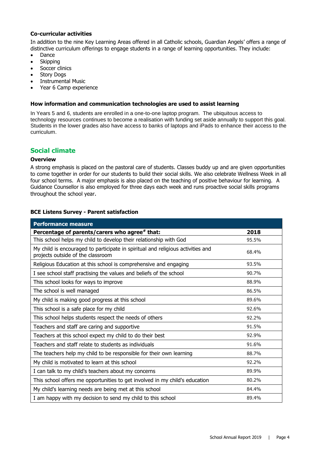#### **Co-curricular activities**

In addition to the nine Key Learning Areas offered in all Catholic schools, Guardian Angels' offers a range of distinctive curriculum offerings to engage students in a range of learning opportunities. They include:

- Dance
- **Skipping**
- Soccer clinics
- Story Dogs
- Instrumental Music
- Year 6 Camp experience

#### **How information and communication technologies are used to assist learning**

In Years 5 and 6, students are enrolled in a one-to-one laptop program. The ubiquitous access to technology resources continues to become a realisation with funding set aside annually to support this goal. Students in the lower grades also have access to banks of laptops and iPads to enhance their access to the curriculum.

#### **Social climate**

#### **Overview**

A strong emphasis is placed on the pastoral care of students. Classes buddy up and are given opportunities to come together in order for our students to build their social skills. We also celebrate Wellness Week in all four school terms. A major emphasis is also placed on the teaching of positive behaviour for learning. A Guidance Counsellor is also employed for three days each week and runs proactive social skills programs throughout the school year.

#### **BCE Listens Survey - Parent satisfaction**

| <b>Performance measure</b>                                                                                           |       |
|----------------------------------------------------------------------------------------------------------------------|-------|
| Percentage of parents/carers who agree# that:                                                                        | 2018  |
| This school helps my child to develop their relationship with God                                                    | 95.5% |
| My child is encouraged to participate in spiritual and religious activities and<br>projects outside of the classroom | 68.4% |
| Religious Education at this school is comprehensive and engaging                                                     | 93.5% |
| I see school staff practising the values and beliefs of the school                                                   | 90.7% |
| This school looks for ways to improve                                                                                | 88.9% |
| The school is well managed                                                                                           | 86.5% |
| My child is making good progress at this school                                                                      | 89.6% |
| This school is a safe place for my child                                                                             | 92.6% |
| This school helps students respect the needs of others                                                               | 92.2% |
| Teachers and staff are caring and supportive                                                                         | 91.5% |
| Teachers at this school expect my child to do their best                                                             | 92.9% |
| Teachers and staff relate to students as individuals                                                                 | 91.6% |
| The teachers help my child to be responsible for their own learning                                                  | 88.7% |
| My child is motivated to learn at this school                                                                        | 92.2% |
| I can talk to my child's teachers about my concerns                                                                  | 89.9% |
| This school offers me opportunities to get involved in my child's education                                          | 80.2% |
| My child's learning needs are being met at this school                                                               | 84.4% |
| I am happy with my decision to send my child to this school                                                          | 89.4% |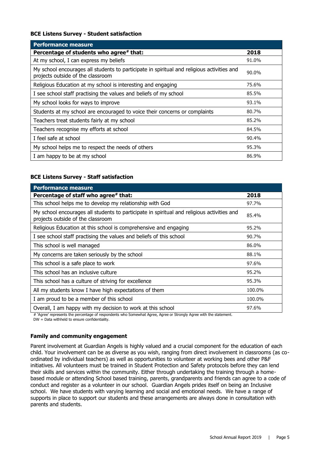#### **BCE Listens Survey - Student satisfaction**

| <b>Performance measure</b>                                                                                                      |       |
|---------------------------------------------------------------------------------------------------------------------------------|-------|
| Percentage of students who agree# that:                                                                                         | 2018  |
| At my school, I can express my beliefs                                                                                          | 91.0% |
| My school encourages all students to participate in spiritual and religious activities and<br>projects outside of the classroom | 90.0% |
| Religious Education at my school is interesting and engaging                                                                    | 75.6% |
| I see school staff practising the values and beliefs of my school                                                               | 85.5% |
| My school looks for ways to improve                                                                                             | 93.1% |
| Students at my school are encouraged to voice their concerns or complaints                                                      | 80.7% |
| Teachers treat students fairly at my school                                                                                     | 85.2% |
| Teachers recognise my efforts at school                                                                                         | 84.5% |
| I feel safe at school                                                                                                           | 90.4% |
| My school helps me to respect the needs of others                                                                               | 95.3% |
| I am happy to be at my school                                                                                                   | 86.9% |

#### **BCE Listens Survey - Staff satisfaction**

| <b>Performance measure</b>                                                                                                      |        |
|---------------------------------------------------------------------------------------------------------------------------------|--------|
| Percentage of staff who agree# that:                                                                                            | 2018   |
| This school helps me to develop my relationship with God                                                                        | 97.7%  |
| My school encourages all students to participate in spiritual and religious activities and<br>projects outside of the classroom | 85.4%  |
| Religious Education at this school is comprehensive and engaging                                                                | 95.2%  |
| I see school staff practising the values and beliefs of this school                                                             | 90.7%  |
| This school is well managed                                                                                                     | 86.0%  |
| My concerns are taken seriously by the school                                                                                   | 88.1%  |
| This school is a safe place to work                                                                                             | 97.6%  |
| This school has an inclusive culture                                                                                            | 95.2%  |
| This school has a culture of striving for excellence                                                                            | 95.3%  |
| All my students know I have high expectations of them                                                                           | 100.0% |
| I am proud to be a member of this school                                                                                        | 100.0% |
| Overall, I am happy with my decision to work at this school                                                                     | 97.6%  |

# 'Agree' represents the percentage of respondents who Somewhat Agree, Agree or Strongly Agree with the statement.

DW = Data withheld to ensure confidentiality.

#### **Family and community engagement**

Parent involvement at Guardian Angels is highly valued and a crucial component for the education of each child. Your involvement can be as diverse as you wish, ranging from direct involvement in classrooms (as coordinated by individual teachers) as well as opportunities to volunteer at working bees and other P&F initiatives. All volunteers must be trained in Student Protection and Safety protocols before they can lend their skills and services within the community. Either through undertaking the training through a homebased module or attending School based training, parents, grandparents and friends can agree to a code of conduct and register as a volunteer in our school. Guardian Angels prides itself on being an Inclusive school. We have students with varying learning and social and emotional needs. We have a range of supports in place to support our students and these arrangements are always done in consultation with parents and students.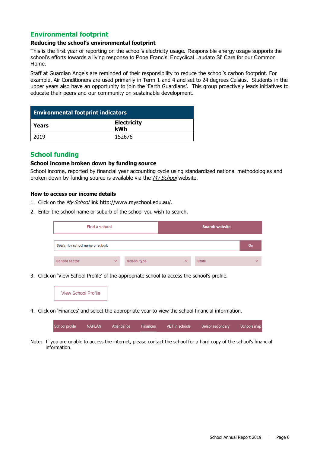#### **Environmental footprint**

#### **Reducing the school's environmental footprint**

This is the first year of reporting on the school's electricity usage. Responsible energy usage supports the school's efforts towards a living response to Pope Francis' Encyclical Laudato Si' Care for our Common Home.

Staff at Guardian Angels are reminded of their responsibility to reduce the school's carbon footprint. For example, Air Conditioners are used primarily in Term 1 and 4 and set to 24 degrees Celsius. Students in the upper years also have an opportunity to join the 'Earth Guardians'. This group proactively leads initiatives to educate their peers and our community on sustainable development.

| <b>Environmental footprint indicators</b> |                           |  |  |
|-------------------------------------------|---------------------------|--|--|
| l Years                                   | <b>Electricity</b><br>kWh |  |  |
| 2019                                      | 152676                    |  |  |

#### **School funding**

#### **School income broken down by funding source**

School income, reported by financial year accounting cycle using standardized national methodologies and broken down by funding source is available via the [My School](http://www.myschool.edu.au/) website.

#### **How to access our income details**

- 1. Click on the My School link <http://www.myschool.edu.au/>.
- 2. Enter the school name or suburb of the school you wish to search.

| Find a school                   |              |                    |              | <b>Search website</b> |              |
|---------------------------------|--------------|--------------------|--------------|-----------------------|--------------|
| Search by school name or suburb |              |                    |              |                       | Go           |
| <b>School sector</b>            | $\checkmark$ | <b>School type</b> | $\checkmark$ | <b>State</b>          | $\checkmark$ |

3. Click on 'View School Profile' of the appropriate school to access the school's profile.



4. Click on 'Finances' and select the appropriate year to view the school financial information.

| School profile | NAPLAN | Attendance | Finances | VET in schools | Senior secondary | Schools map |
|----------------|--------|------------|----------|----------------|------------------|-------------|
|                |        |            |          |                |                  |             |

Note: If you are unable to access the internet, please contact the school for a hard copy of the school's financial information.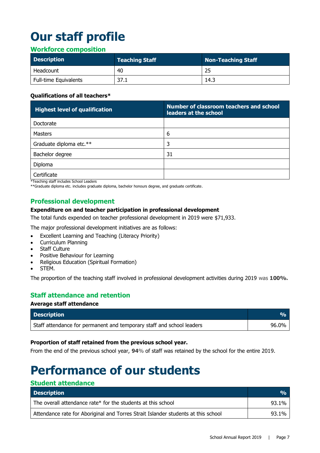# **Our staff profile**

#### **Workforce composition**

| <b>Description</b>           | <b>Teaching Staff</b> | Non-Teaching Staff |
|------------------------------|-----------------------|--------------------|
| Headcount                    | 40                    | 25                 |
| <b>Full-time Equivalents</b> | 37.1                  | 14.3               |

#### **Qualifications of all teachers\***

| <b>Highest level of qualification</b> | Number of classroom teachers and school<br>leaders at the school |
|---------------------------------------|------------------------------------------------------------------|
| Doctorate                             |                                                                  |
| <b>Masters</b>                        | 6                                                                |
| Graduate diploma etc.**               | 3                                                                |
| Bachelor degree                       | 31                                                               |
| Diploma                               |                                                                  |
| Certificate<br>.                      |                                                                  |

\*Teaching staff includes School Leaders

\*\*Graduate diploma etc. includes graduate diploma, bachelor honours degree, and graduate certificate.

#### **Professional development**

#### **Expenditure on and teacher participation in professional development**

The total funds expended on teacher professional development in 2019 were \$71,933.

The major professional development initiatives are as follows:

- Excellent Learning and Teaching (Literacy Priority)
- Curriculum Planning
- Staff Culture
- Positive Behaviour for Learning
- Religious Education (Spiritual Formation)
- STEM.

The proportion of the teaching staff involved in professional development activities during 2019 was **100%.**

#### **Staff attendance and retention**

#### **Average staff attendance**

| <b>Description</b>                                                    |       |
|-----------------------------------------------------------------------|-------|
| Staff attendance for permanent and temporary staff and school leaders | 96.0% |

#### **Proportion of staff retained from the previous school year.**

From the end of the previous school year, **94**% of staff was retained by the school for the entire 2019.

## **Performance of our students**

#### **Student attendance**

| <b>Description</b>                                                                | $\mathbf{O}_0$ |
|-----------------------------------------------------------------------------------|----------------|
| The overall attendance rate* for the students at this school                      | 93.1%          |
| Attendance rate for Aboriginal and Torres Strait Islander students at this school | 93.1%          |